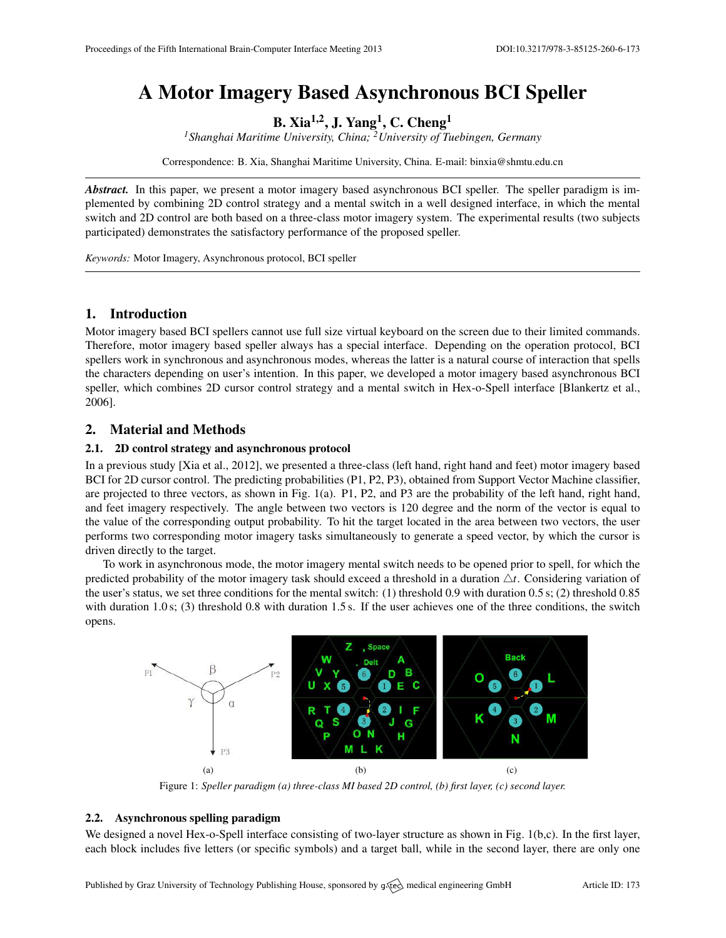# A Motor Imagery Based Asynchronous BCI Speller

B. Xia<sup>1,2</sup>, J. Yang<sup>1</sup>, C. Cheng<sup>1</sup>

*<sup>1</sup>Shanghai Maritime University, China; <sup>2</sup>University of Tuebingen, Germany*

Correspondence: B. Xia, Shanghai Maritime University, China. E-mail: [binxia@shmtu.edu.cn](mailto:binxia@shmtu.edu.cn)

*Abstract.* In this paper, we present a motor imagery based asynchronous BCI speller. The speller paradigm is implemented by combining 2D control strategy and a mental switch in a well designed interface, in which the mental switch and 2D control are both based on a three-class motor imagery system. The experimental results (two subjects participated) demonstrates the satisfactory performance of the proposed speller.

*Keywords:* Motor Imagery, Asynchronous protocol, BCI speller

# 1. Introduction

Motor imagery based BCI spellers cannot use full size virtual keyboard on the screen due to their limited commands. Therefore, motor imagery based speller always has a special interface. Depending on the operation protocol, BCI spellers work in synchronous and asynchronous modes, whereas the latter is a natural course of interaction that spells the characters depending on user's intention. In this paper, we developed a motor imagery based asynchronous BCI speller, which combines 2D cursor control strategy and a mental switch in Hex-o-Spell interface [\[Blankertz et al.,](#page-1-0) [2006\]](#page-1-0).

# 2. Material and Methods

#### 2.1. 2D control strategy and asynchronous protocol

In a previous study [\[Xia et al.,](#page-1-1) [2012\]](#page-1-1), we presented a three-class (left hand, right hand and feet) motor imagery based BCI for 2D cursor control. The predicting probabilities (P1, P2, P3), obtained from Support Vector Machine classifier, are projected to three vectors, as shown in Fig. 1(a). P1, P2, and P3 are the probability of the left hand, right hand, and feet imagery respectively. The angle between two vectors is 120 degree and the norm of the vector is equal to the value of the corresponding output probability. To hit the target located in the area between two vectors, the user performs two corresponding motor imagery tasks simultaneously to generate a speed vector, by which the cursor is driven directly to the target.

To work in asynchronous mode, the motor imagery mental switch needs to be opened prior to spell, for which the predicted probability of the motor imagery task should exceed a threshold in a duration  $\Delta t$ . Considering variation of the user's status, we set three conditions for the mental switch: (1) threshold 0.9 with duration 0.5 s; (2) threshold 0.85 with duration 1.0 s; (3) threshold 0.8 with duration 1.5 s. If the user achieves one of the three conditions, the switch opens.



Figure 1: *Speller paradigm (a) three-class MI based 2D control, (b) first layer, (c) second layer.*

### 2.2. Asynchronous spelling paradigm

We designed a novel Hex-o-Spell interface consisting of two-layer structure as shown in Fig. 1(b,c). In the first layer, each block includes five letters (or specific symbols) and a target ball, while in the second layer, there are only one